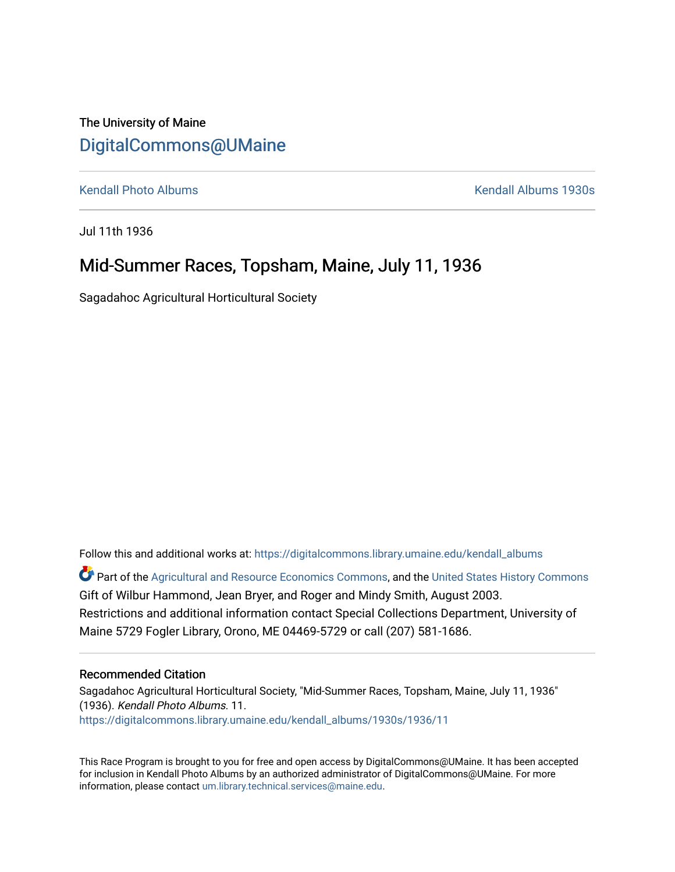## The University of Maine [DigitalCommons@UMaine](https://digitalcommons.library.umaine.edu/)

[Kendall Photo Albums](https://digitalcommons.library.umaine.edu/kendall_albums) [Kendall Albums 1930s](https://digitalcommons.library.umaine.edu/kendall_albums/1930s) 

Jul 11th 1936

## Mid-Summer Races, Topsham, Maine, July 11, 1936

Sagadahoc Agricultural Horticultural Society

Follow this and additional works at: [https://digitalcommons.library.umaine.edu/kendall\\_albums](https://digitalcommons.library.umaine.edu/kendall_albums?utm_source=digitalcommons.library.umaine.edu%2Fkendall_albums%2F1930s%2F1936%2F11&utm_medium=PDF&utm_campaign=PDFCoverPages) 

**C** Part of the [Agricultural and Resource Economics Commons,](http://network.bepress.com/hgg/discipline/317?utm_source=digitalcommons.library.umaine.edu%2Fkendall_albums%2F1930s%2F1936%2F11&utm_medium=PDF&utm_campaign=PDFCoverPages) and the [United States History Commons](http://network.bepress.com/hgg/discipline/495?utm_source=digitalcommons.library.umaine.edu%2Fkendall_albums%2F1930s%2F1936%2F11&utm_medium=PDF&utm_campaign=PDFCoverPages) Gift of Wilbur Hammond, Jean Bryer, and Roger and Mindy Smith, August 2003. Restrictions and additional information contact Special Collections Department, University of Maine 5729 Fogler Library, Orono, ME 04469-5729 or call (207) 581-1686.

## Recommended Citation

Sagadahoc Agricultural Horticultural Society, "Mid-Summer Races, Topsham, Maine, July 11, 1936" (1936). Kendall Photo Albums. 11. [https://digitalcommons.library.umaine.edu/kendall\\_albums/1930s/1936/11](https://digitalcommons.library.umaine.edu/kendall_albums/1930s/1936/11?utm_source=digitalcommons.library.umaine.edu%2Fkendall_albums%2F1930s%2F1936%2F11&utm_medium=PDF&utm_campaign=PDFCoverPages)

This Race Program is brought to you for free and open access by DigitalCommons@UMaine. It has been accepted for inclusion in Kendall Photo Albums by an authorized administrator of DigitalCommons@UMaine. For more information, please contact [um.library.technical.services@maine.edu](mailto:um.library.technical.services@maine.edu).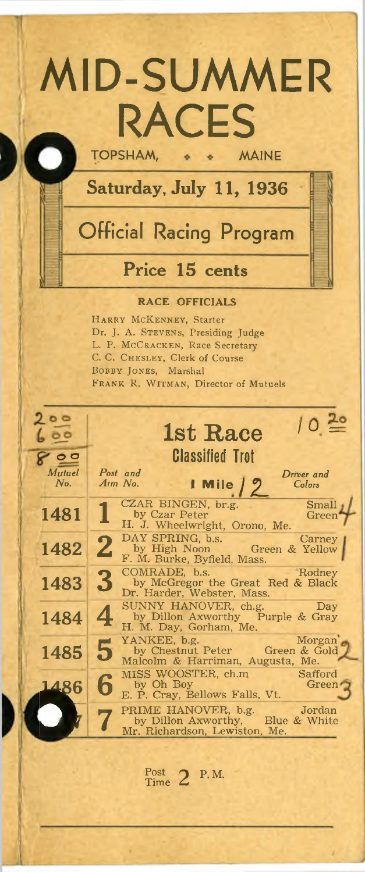# MID-SUMMER RACES **TOPSHAM,**

Saturday, July 11, 1936

## **Official Racing Program**

## Price 15 cents

#### **RACE OFFICIALS**

**H a r r y M cK e n n e y , S ta r te r** Dr. J. A. STEVENS, Presiding Judge **L. P. MCCRACKEN, Race Secretary C. C . C h e s l e y , C le r k o f C o u r se B o b b y Jo n e s, M a r sh a l FRANK R. WITMAN, Director of Mutuels** 

| 200           | 1st Race                                                                                                 |
|---------------|----------------------------------------------------------------------------------------------------------|
| $\circ$       | <b>Classified Trot</b>                                                                                   |
| Mutuel<br>No. | Post and<br>Driver and<br>$1$ Mile $/2$<br>$A$ rm $No.$<br>Colors                                        |
| 1481          | CZAR BINGEN, br.g.<br>Small<br>by Czar Peter<br>Green<br>H. J. Wheelwright, Orono, Me.                   |
| 1482          | DAY SPRING, b.s.<br>Carney<br>$\mathbf{2}$<br>by High Noon Green & Yellow<br>F. M. Burke, Byfield, Mass. |
| 1483          | COMRADE, b.s. Rodney<br>3<br>by McGregor the Great Red & Black<br>Dr. Harder, Webster, Mass.             |
| 1484          | Day<br>SUNNY HANOVER, ch.g.<br>by Dillon Axworthy Purple & Gray<br>H. M. Day, Gorham, Me.                |
| 1485          | Morgan<br>5<br>Malcolm & Harriman, Augusta, Me.                                                          |
| 1486          | MISS WOOSTER, ch.m<br>Safford<br>by Oh Boy<br>Green<br>E. P. Cray, Bellows Falls, Vt.                    |
|               | PRIME HANOVER, b.g. Jordan<br>by Dillon Axworthy, Blue & White<br>Mr. Richardson, Lewiston, Me.          |
|               |                                                                                                          |

**Post 2 P.M.**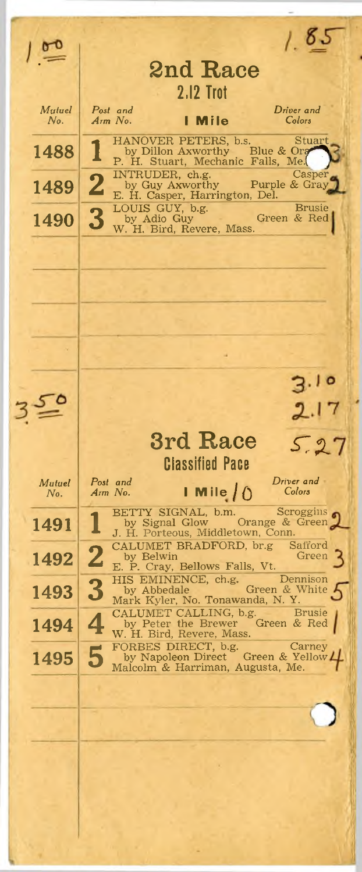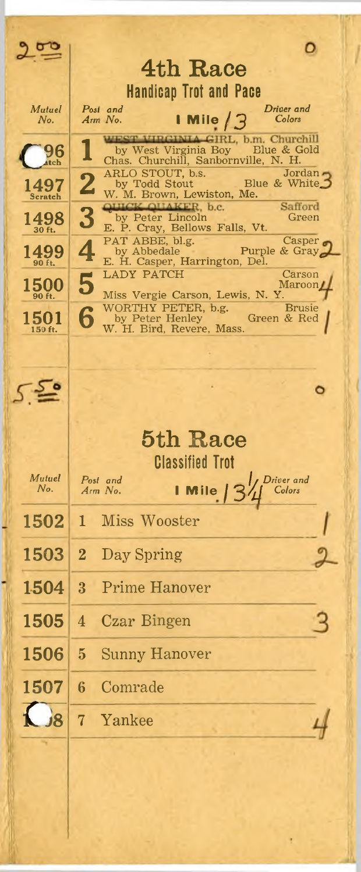$9 - 5$ o 4th Race **Handicap Trot and Pace** Driver and Mutuel Post and I Mile  $/3$ No. Arm No. Colors WEST VIRGINIA GIRL, b.m. Churchill by West Virginia Boy Blue & Gold<br>Chas. Churchill, Sanbornville, N. H.<br>ARLO STOUT, b.s. Jordan 96 atch Jordan  $\overline{2}$  $1497$ <br>Scratch by Todd Stout Blue & White W. M. Brown, Lewiston, Me. QUICK QUAKER, b.c. Safford 3  $1498$ <sub>30 ft.</sub> by Peter Lincoln<br>E. P. Cray, Bellows Falls, Vt. Green PAT ABBE, bl.g.<br>by Abbedale Purpl<br>E. H. Casper, Harrington, Del. Casper o 4  $1499$ Purple & Gray **LADY PATCH** Carson 5 Maroon/ **1500** Miss Vergie Carson, Lewis, N. Y 90 ft. WORTHY PETER, b.g.<br>by Peter Henley<br>W. H. Bird, Revere, Mass. **Brusie** 6 1501 Green & Red 150 ft. ۰ 5th Race **Classified Trot** Post and<br>Arm No. Mutuel Driver and  $No.$ Mile Colors 1502 1 Miss Wooster Day Spring 1503  $\overline{2}$ 1504 Prime Hanover 3 1505  $\overline{\mathbf{4}}$ Czar Bingen 1506 **Sunny Hanover** 5 1507  $6\overline{6}$ Comrade  $\frac{1}{8}$ Yankee  $7<sup>1</sup>$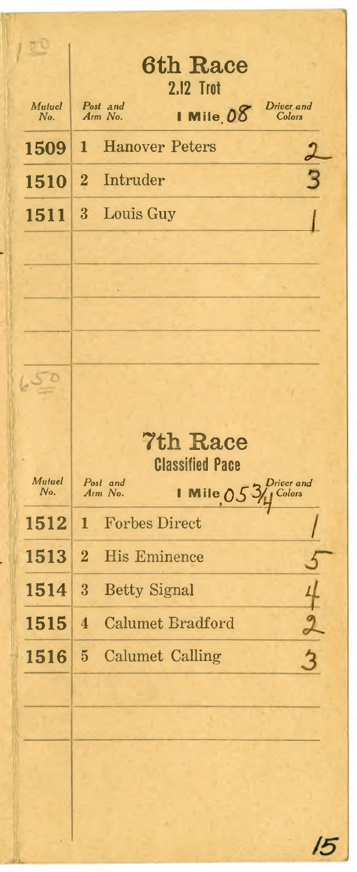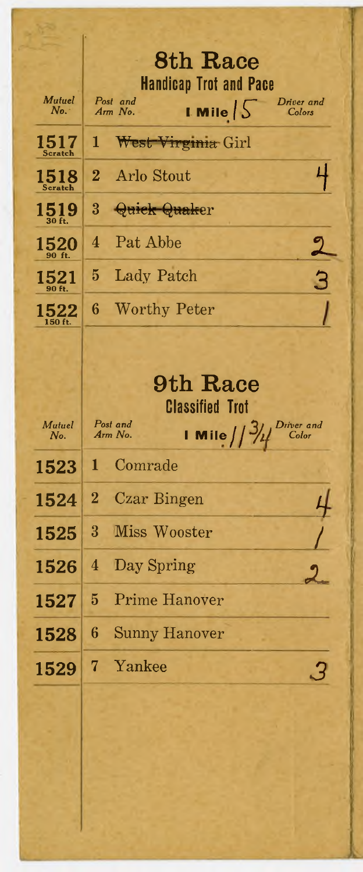|                         | 8th Race                                                            |  |
|-------------------------|---------------------------------------------------------------------|--|
| Mutuel                  | <b>Handicap Trot and Pace</b><br>Post and<br>Driver and             |  |
| No.                     | <b>LMile</b> $\frac{1}{2}$<br>Arm No.<br>Colors                     |  |
| 1517<br>Scratch         | 1<br>West Virginia Girl                                             |  |
| 1518<br>Scratch         | <b>Arlo Stout</b><br>$\bf{2}$                                       |  |
| $1519_{\tiny{30\,ft.}}$ | 3<br>Quick Quaker                                                   |  |
| 1520                    | Pat Abbe<br>4                                                       |  |
| 1521                    | Lady Patch<br>5                                                     |  |
| 1522<br>$150$ ft.       | 6<br><b>Worthy Peter</b>                                            |  |
|                         |                                                                     |  |
|                         | 9th Race                                                            |  |
|                         |                                                                     |  |
|                         | <b>Classified Trot</b>                                              |  |
| Mutuel<br>No.           | Post and<br>Driver and<br><b>I</b> Mile $1/3/4$<br>Arm No.<br>Color |  |
| 1523                    | Comrade<br>1.                                                       |  |
| 1524                    | $\overline{2}$<br>Czar Bingen                                       |  |
| 1525                    | 3 <sup>1</sup><br>Miss Wooster                                      |  |
| 1526                    | Day Spring<br>4                                                     |  |
| 1527                    | <b>Prime Hanover</b><br>$\bf{5}$                                    |  |
| 1528                    | $\boldsymbol{6}$<br><b>Sunny Hanover</b>                            |  |
| 1529                    | Yankee<br>7                                                         |  |
|                         |                                                                     |  |
|                         |                                                                     |  |
|                         |                                                                     |  |